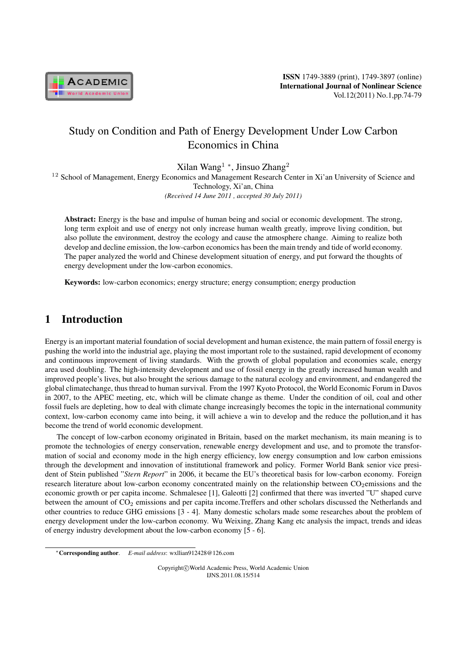

# Study on Condition and Path of Energy Development Under Low Carbon Economics in China

Xilan Wang<sup>1</sup> *<sup>∗</sup>* , Jinsuo Zhang<sup>2</sup>

<sup>12</sup> School of Management, Energy Economics and Management Research Center in Xi'an University of Science and Technology, Xi'an, China *(Received 14 June 2011 , accepted 30 July 2011)*

Abstract: Energy is the base and impulse of human being and social or economic development. The strong, long term exploit and use of energy not only increase human wealth greatly, improve living condition, but also pollute the environment, destroy the ecology and cause the atmosphere change. Aiming to realize both develop and decline emission, the low-carbon economics has been the main trendy and tide of world economy. The paper analyzed the world and Chinese development situation of energy, and put forward the thoughts of energy development under the low-carbon economics.

Keywords: low-carbon economics; energy structure; energy consumption; energy production

## 1 Introduction

Energy is an important material foundation of social development and human existence, the main pattern of fossil energy is pushing the world into the industrial age, playing the most important role to the sustained, rapid development of economy and continuous improvement of living standards. With the growth of global population and economies scale, energy area used doubling. The high-intensity development and use of fossil energy in the greatly increased human wealth and improved people's lives, but also brought the serious damage to the natural ecology and environment, and endangered the global climatechange, thus thread to human survival. From the 1997 Kyoto Protocol, the World Economic Forum in Davos in 2007, to the APEC meeting, etc, which will be climate change as theme. Under the condition of oil, coal and other fossil fuels are depleting, how to deal with climate change increasingly becomes the topic in the international community context, low-carbon economy came into being, it will achieve a win to develop and the reduce the pollution,and it has become the trend of world economic development.

The concept of low-carbon economy originated in Britain, based on the market mechanism, its main meaning is to promote the technologies of energy conservation, renewable energy development and use, and to promote the transformation of social and economy mode in the high energy efficiency, low energy consumption and low carbon emissions through the development and innovation of institutional framework and policy. Former World Bank senior vice president of Stein published "*Stern Report*" in 2006, it became the EU's theoretical basis for low-carbon economy. Foreign research literature about low-carbon economy concentrated mainly on the relationship between  $CO<sub>2</sub>$ emissions and the economic growth or per capita income. Schmalesee [1], Galeotti [2] confirmed that there was inverted "U" shaped curve between the amount of  $CO<sub>2</sub>$  emissions and per capita income.Treffers and other scholars discussed the Netherlands and other countries to reduce GHG emissions [3 - 4]. Many domestic scholars made some researches about the problem of energy development under the low-carbon economy. Wu Weixing, Zhang Kang etc analysis the impact, trends and ideas of energy industry development about the low-carbon economy [5 - 6].

Copyright*⃝*c World Academic Press, World Academic Union IJNS.2011.08.15/514

*<sup>∗</sup>*Corresponding author. *E-mail address*: wxllian912428@126.com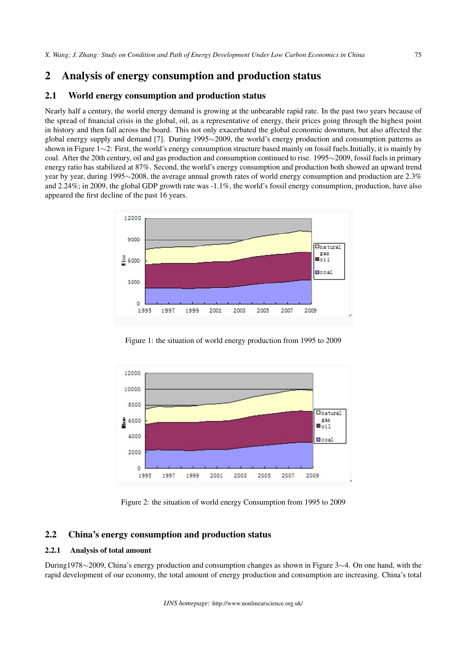### 2 Analysis of energy consumption and production status

#### 2.1 World energy consumption and production status

Nearly half a century, the world energy demand is growing at the unbearable rapid rate. In the past two years because of the spread of financial crisis in the global, oil, as a representative of energy, their prices going through the highest point in history and then fall across the board. This not only exacerbated the global economic downturn, but also affected the global energy supply and demand [7]. During 1995*∼*2009, the world's energy production and consumption patterns as shown in Figure 1*∼*2: First, the world's energy consumption structure based mainly on fossil fuels.Initially, it is mainly by coal. After the 20th century, oil and gas production and consumption continued to rise. 1995*∼*2009, fossil fuels in primary energy ratio has stabilized at 87%. Second, the world's energy consumption and production both showed an upward trend year by year, during 1995*∼*2008, the average annual growth rates of world energy consumption and production are 2.3% and 2.24%; in 2009, the global GDP growth rate was -1.1%, the world's fossil energy consumption, production, have also appeared the first decline of the past 16 years.



Figure 1: the situation of world energy production from 1995 to 2009



Figure 2: the situation of world energy Consumption from 1995 to 2009

#### 2.2 China's energy consumption and production status

#### 2.2.1 Analysis of total amount

During1978*∼*2009, China's energy production and consumption changes as shown in Figure 3*∼*4. On one hand, with the rapid development of our economy, the total amount of energy production and consumption are increasing. China's total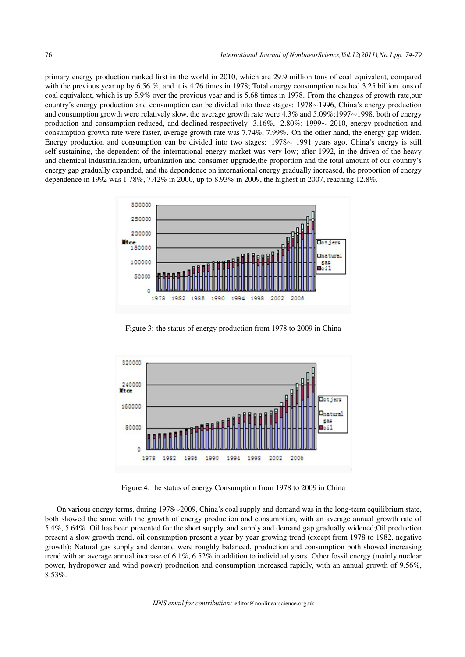primary energy production ranked first in the world in 2010, which are 29.9 million tons of coal equivalent, compared with the previous year up by 6.56 %, and it is 4.76 times in 1978; Total energy consumption reached 3.25 billion tons of coal equivalent, which is up 5.9% over the previous year and is 5.68 times in 1978. From the changes of growth rate,our country's energy production and consumption can be divided into three stages: 1978*∼*1996, China's energy production and consumption growth were relatively slow, the average growth rate were 4.3% and 5.09%;1997*∼*1998, both of energy production and consumption reduced, and declined respectively -3.16%, -2.80%; 1999*∼* 2010, energy production and consumption growth rate were faster, average growth rate was 7.74%, 7.99%. On the other hand, the energy gap widen. Energy production and consumption can be divided into two stages: 1978*∼* 1991 years ago, China's energy is still self-sustaining, the dependent of the international energy market was very low; after 1992, in the driven of the heavy and chemical industrialization, urbanization and consumer upgrade,the proportion and the total amount of our country's energy gap gradually expanded, and the dependence on international energy gradually increased, the proportion of energy dependence in 1992 was 1.78%, 7.42% in 2000, up to 8.93% in 2009, the highest in 2007, reaching 12.8%.



Figure 3: the status of energy production from 1978 to 2009 in China



Figure 4: the status of energy Consumption from 1978 to 2009 in China

On various energy terms, during 1978*∼*2009, China's coal supply and demand was in the long-term equilibrium state, both showed the same with the growth of energy production and consumption, with an average annual growth rate of 5.4%, 5.64%. Oil has been presented for the short supply, and supply and demand gap gradually widened;Oil production present a slow growth trend, oil consumption present a year by year growing trend (except from 1978 to 1982, negative growth); Natural gas supply and demand were roughly balanced, production and consumption both showed increasing trend with an average annual increase of 6.1%, 6.52% in addition to individual years. Other fossil energy (mainly nuclear power, hydropower and wind power) production and consumption increased rapidly, with an annual growth of 9.56%, 8.53%.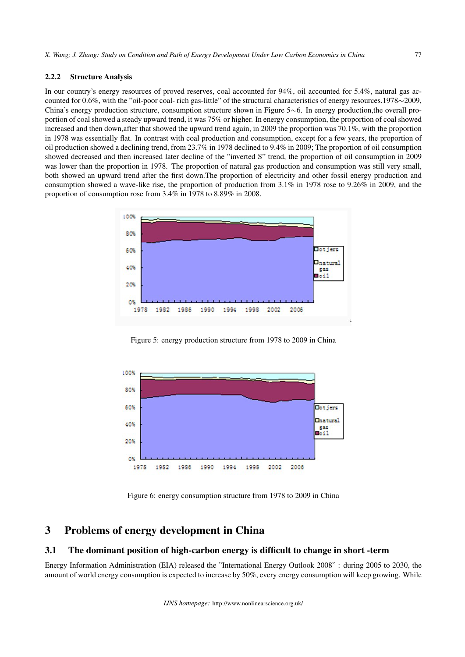#### 2.2.2 Structure Analysis

In our country's energy resources of proved reserves, coal accounted for 94%, oil accounted for 5.4%, natural gas accounted for 0.6%, with the "oil-poor coal- rich gas-little" of the structural characteristics of energy resources.1978*∼*2009, China's energy production structure, consumption structure shown in Figure 5*∼*6. In energy production,the overall proportion of coal showed a steady upward trend, it was 75% or higher. In energy consumption, the proportion of coal showed increased and then down,after that showed the upward trend again, in 2009 the proportion was 70.1%, with the proportion in 1978 was essentially flat. In contrast with coal production and consumption, except for a few years, the proportion of oil production showed a declining trend, from 23.7% in 1978 declined to 9.4% in 2009; The proportion of oil consumption showed decreased and then increased later decline of the "inverted S" trend, the proportion of oil consumption in 2009 was lower than the proportion in 1978. The proportion of natural gas production and consumption was still very small, both showed an upward trend after the first down.The proportion of electricity and other fossil energy production and consumption showed a wave-like rise, the proportion of production from 3.1% in 1978 rose to 9.26% in 2009, and the proportion of consumption rose from 3.4% in 1978 to 8.89% in 2008.



Figure 5: energy production structure from 1978 to 2009 in China



Figure 6: energy consumption structure from 1978 to 2009 in China

## 3 Problems of energy development in China

#### 3.1 The dominant position of high-carbon energy is difficult to change in short -term

Energy Information Administration (EIA) released the "International Energy Outlook 2008" : during 2005 to 2030, the amount of world energy consumption is expected to increase by 50%, every energy consumption will keep growing. While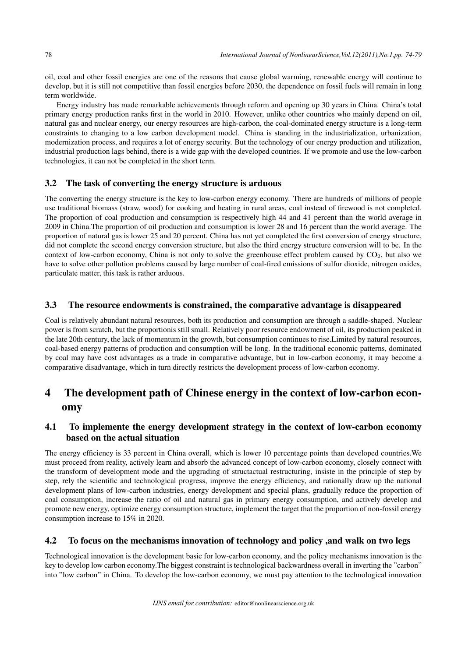oil, coal and other fossil energies are one of the reasons that cause global warming, renewable energy will continue to develop, but it is still not competitive than fossil energies before 2030, the dependence on fossil fuels will remain in long term worldwide.

Energy industry has made remarkable achievements through reform and opening up 30 years in China. China's total primary energy production ranks first in the world in 2010. However, unlike other countries who mainly depend on oil, natural gas and nuclear energy, our energy resources are high-carbon, the coal-dominated energy structure is a long-term constraints to changing to a low carbon development model. China is standing in the industrialization, urbanization, modernization process, and requires a lot of energy security. But the technology of our energy production and utilization, industrial production lags behind, there is a wide gap with the developed countries. If we promote and use the low-carbon technologies, it can not be completed in the short term.

#### 3.2 The task of converting the energy structure is arduous

The converting the energy structure is the key to low-carbon energy economy. There are hundreds of millions of people use traditional biomass (straw, wood) for cooking and heating in rural areas, coal instead of firewood is not completed. The proportion of coal production and consumption is respectively high 44 and 41 percent than the world average in 2009 in China.The proportion of oil production and consumption is lower 28 and 16 percent than the world average. The proportion of natural gas is lower 25 and 20 percent. China has not yet completed the first conversion of energy structure, did not complete the second energy conversion structure, but also the third energy structure conversion will to be. In the context of low-carbon economy, China is not only to solve the greenhouse effect problem caused by  $CO<sub>2</sub>$ , but also we have to solve other pollution problems caused by large number of coal-fired emissions of sulfur dioxide, nitrogen oxides, particulate matter, this task is rather arduous.

#### 3.3 The resource endowments is constrained, the comparative advantage is disappeared

Coal is relatively abundant natural resources, both its production and consumption are through a saddle-shaped. Nuclear power is from scratch, but the proportionis still small. Relatively poor resource endowment of oil, its production peaked in the late 20th century, the lack of momentum in the growth, but consumption continues to rise.Limited by natural resources, coal-based energy patterns of production and consumption will be long. In the traditional economic patterns, dominated by coal may have cost advantages as a trade in comparative advantage, but in low-carbon economy, it may become a comparative disadvantage, which in turn directly restricts the development process of low-carbon economy.

# 4 The development path of Chinese energy in the context of low-carbon economy

#### 4.1 To implemente the energy development strategy in the context of low-carbon economy based on the actual situation

The energy efficiency is 33 percent in China overall, which is lower 10 percentage points than developed countries.We must proceed from reality, actively learn and absorb the advanced concept of low-carbon economy, closely connect with the transform of development mode and the upgrading of structactual restructuring, insiste in the principle of step by step, rely the scientific and technological progress, improve the energy efficiency, and rationally draw up the national development plans of low-carbon industries, energy development and special plans, gradually reduce the proportion of coal consumption, increase the ratio of oil and natural gas in primary energy consumption, and actively develop and promote new energy, optimize energy consumption structure, implement the target that the proportion of non-fossil energy consumption increase to 15% in 2020.

#### 4.2 To focus on the mechanisms innovation of technology and policy ,and walk on two legs

Technological innovation is the development basic for low-carbon economy, and the policy mechanisms innovation is the key to develop low carbon economy.The biggest constraint is technological backwardness overall in inverting the "carbon" into "low carbon" in China. To develop the low-carbon economy, we must pay attention to the technological innovation